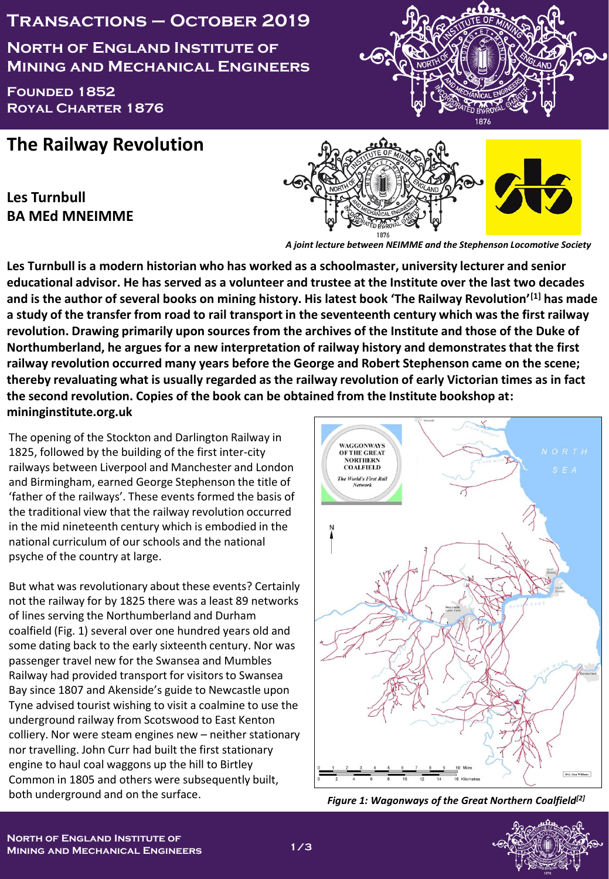## **Transactions – October 2019**

**North of England Institute of Mining and Mechanical Engineers**

**Founded 1852 Royal Charter 1876**



## **The Railway Revolution**

**Les Turnbull BA MEd MNEIMME**



*A joint lecture between NEIMME and the Stephenson Locomotive Society*

**Les Turnbull is a modern historian who has worked as a schoolmaster, university lecturer and senior educational advisor. He has served as a volunteer and trustee at the Institute over the last two decades and is the author of several books on mining history. His latest book 'The Railway Revolution'[1] has made a study of the transfer from road to rail transport in the seventeenth century which was the first railway revolution. Drawing primarily upon sources from the archives of the Institute and those of the Duke of Northumberland, he argues for a new interpretation of railway history and demonstrates that the first railway revolution occurred many years before the George and Robert Stephenson came on the scene; thereby revaluating what is usually regarded as the railway revolution of early Victorian times as in fact the second revolution. Copies of the book can be obtained from the Institute bookshop at: mininginstitute.org.uk**

The opening of the Stockton and Darlington Railway in 1825, followed by the building of the first inter-city railways between Liverpool and Manchester and London and Birmingham, earned George Stephenson the title of 'father of the railways'. These events formed the basis of the traditional view that the railway revolution occurred in the mid nineteenth century which is embodied in the national curriculum of our schools and the national psyche of the country at large.

But what was revolutionary about these events? Certainly not the railway for by 1825 there was a least 89 networks of lines serving the Northumberland and Durham coalfield (Fig. 1) several over one hundred years old and some dating back to the early sixteenth century. Nor was passenger travel new for the Swansea and Mumbles Railway had provided transport for visitors to Swansea Bay since 1807 and Akenside's guide to Newcastle upon Tyne advised tourist wishing to visit a coalmine to use the underground railway from Scotswood to East Kenton colliery. Nor were steam engines new – neither stationary nor travelling. John Curr had built the first stationary engine to haul coal waggons up the hill to Birtley Common in 1805 and others were subsequently built, both underground and on the surface.



*Figure 1: Wagonways of the Great Northern Coalfield[2]*

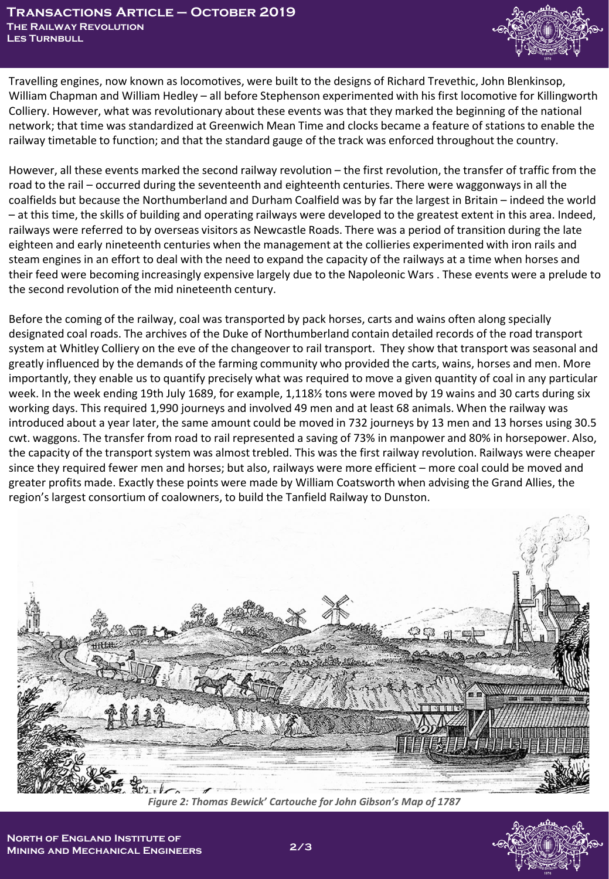

Travelling engines, now known as locomotives, were built to the designs of Richard Trevethic, John Blenkinsop, William Chapman and William Hedley – all before Stephenson experimented with his first locomotive for Killingworth Colliery. However, what was revolutionary about these events was that they marked the beginning of the national network; that time was standardized at Greenwich Mean Time and clocks became a feature of stations to enable the railway timetable to function; and that the standard gauge of the track was enforced throughout the country.

However, all these events marked the second railway revolution – the first revolution, the transfer of traffic from the road to the rail – occurred during the seventeenth and eighteenth centuries. There were waggonwaysin all the coalfields but because the Northumberland and Durham Coalfield was by far the largest in Britain – indeed the world – at this time, the skills of building and operating railways were developed to the greatest extent in this area. Indeed, railways were referred to by overseas visitors as Newcastle Roads. There was a period of transition during the late eighteen and early nineteenth centuries when the management at the collieries experimented with iron rails and steam engines in an effort to deal with the need to expand the capacity of the railways at a time when horses and their feed were becoming increasingly expensive largely due to the Napoleonic Wars . These events were a prelude to the second revolution of the mid nineteenth century.

Before the coming of the railway, coal was transported by pack horses, carts and wains often along specially designated coal roads. The archives of the Duke of Northumberland contain detailed records of the road transport system at Whitley Colliery on the eve of the changeover to rail transport. They show that transport was seasonal and greatly influenced by the demands of the farming community who provided the carts, wains, horses and men. More importantly, they enable us to quantify precisely what was required to move a given quantity of coal in any particular week. In the week ending 19th July 1689, for example, 1,118½ tons were moved by 19 wains and 30 carts during six working days. This required 1,990 journeys and involved 49 men and at least 68 animals. When the railway was introduced about a year later, the same amount could be moved in 732 journeys by 13 men and 13 horses using 30.5 cwt. waggons. The transfer from road to rail represented a saving of 73% in manpower and 80% in horsepower. Also, the capacity of the transport system was almost trebled. This was the first railway revolution. Railways were cheaper since they required fewer men and horses; but also, railways were more efficient – more coal could be moved and greater profits made. Exactly these points were made by William Coatsworth when advising the Grand Allies, the region's largest consortium of coalowners, to build the Tanfield Railway to Dunston.



*Figure 2: Thomas Bewick' Cartouche for John Gibson's Map of 1787*